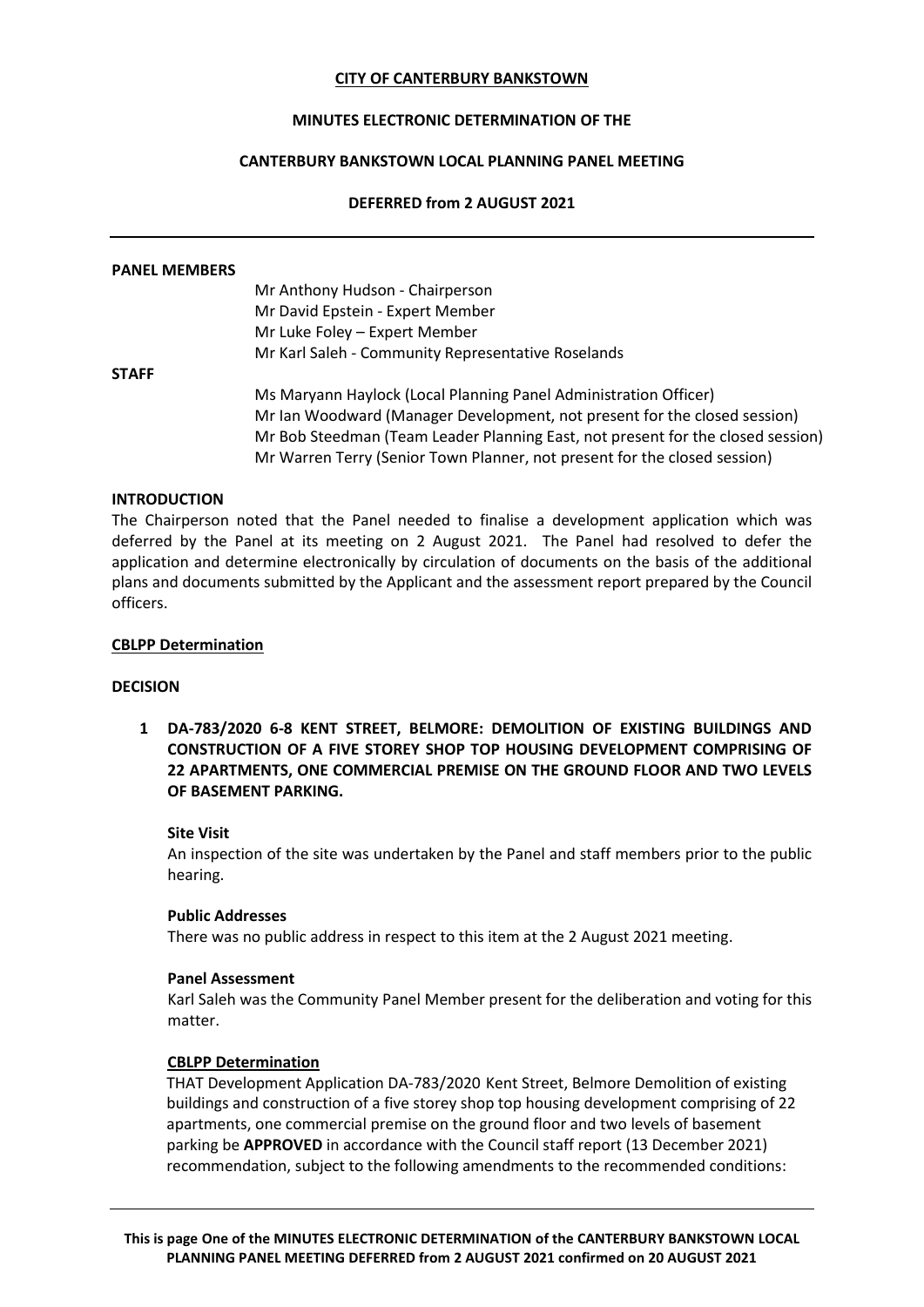### **CITY OF CANTERBURY BANKSTOWN**

# **MINUTES ELECTRONIC DETERMINATION OF THE**

## **CANTERBURY BANKSTOWN LOCAL PLANNING PANEL MEETING**

### **DEFERRED from 2 AUGUST 2021**

#### **PANEL MEMBERS**

Mr Anthony Hudson - Chairperson Mr David Epstein - Expert Member Mr Luke Foley – Expert Member Mr Karl Saleh - Community Representative Roselands

#### **STAFF**

Ms Maryann Haylock (Local Planning Panel Administration Officer) Mr Ian Woodward (Manager Development, not present for the closed session) Mr Bob Steedman (Team Leader Planning East, not present for the closed session) Mr Warren Terry (Senior Town Planner, not present for the closed session)

## **INTRODUCTION**

The Chairperson noted that the Panel needed to finalise a development application which was deferred by the Panel at its meeting on 2 August 2021. The Panel had resolved to defer the application and determine electronically by circulation of documents on the basis of the additional plans and documents submitted by the Applicant and the assessment report prepared by the Council officers.

#### **CBLPP Determination**

## **DECISION**

**1 DA-783/2020 6-8 KENT STREET, BELMORE: DEMOLITION OF EXISTING BUILDINGS AND CONSTRUCTION OF A FIVE STOREY SHOP TOP HOUSING DEVELOPMENT COMPRISING OF 22 APARTMENTS, ONE COMMERCIAL PREMISE ON THE GROUND FLOOR AND TWO LEVELS OF BASEMENT PARKING.**

#### **Site Visit**

An inspection of the site was undertaken by the Panel and staff members prior to the public hearing.

#### **Public Addresses**

There was no public address in respect to this item at the 2 August 2021 meeting.

#### **Panel Assessment**

Karl Saleh was the Community Panel Member present for the deliberation and voting for this matter.

#### **CBLPP Determination**

THAT Development Application DA-783/2020 Kent Street, Belmore Demolition of existing buildings and construction of a five storey shop top housing development comprising of 22 apartments, one commercial premise on the ground floor and two levels of basement parking be **APPROVED** in accordance with the Council staff report (13 December 2021) recommendation, subject to the following amendments to the recommended conditions: